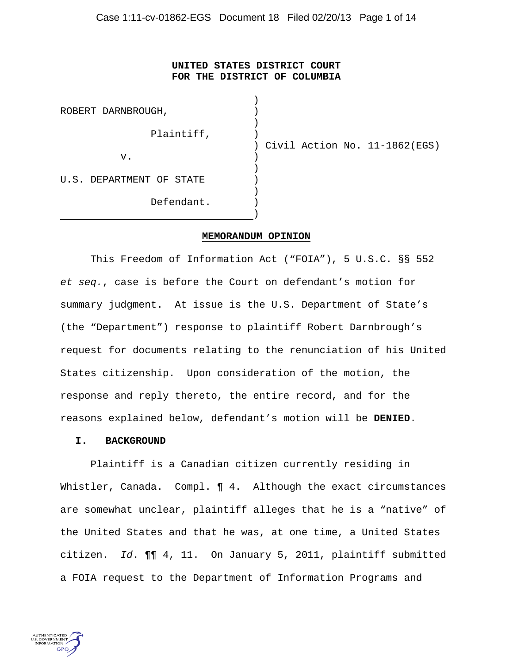# **UNITED STATES DISTRICT COURT FOR THE DISTRICT OF COLUMBIA**

| ROBERT DARNBROUGH,       |                               |
|--------------------------|-------------------------------|
| Plaintiff,               | Civil Action No. 11-1862(EGS) |
| v.                       |                               |
| U.S. DEPARTMENT OF STATE |                               |
| Defendant.               |                               |

#### **MEMORANDUM OPINION**

This Freedom of Information Act ("FOIA"), 5 U.S.C. §§ 552 *et seq.*, case is before the Court on defendant's motion for summary judgment. At issue is the U.S. Department of State's (the "Department") response to plaintiff Robert Darnbrough's request for documents relating to the renunciation of his United States citizenship. Upon consideration of the motion, the response and reply thereto, the entire record, and for the reasons explained below, defendant's motion will be **DENIED**.

#### **I. BACKGROUND**

Plaintiff is a Canadian citizen currently residing in Whistler, Canada. Compl. **[4.** Although the exact circumstances are somewhat unclear, plaintiff alleges that he is a "native" of the United States and that he was, at one time, a United States citizen. *Id*. ¶¶ 4, 11. On January 5, 2011, plaintiff submitted a FOIA request to the Department of Information Programs and

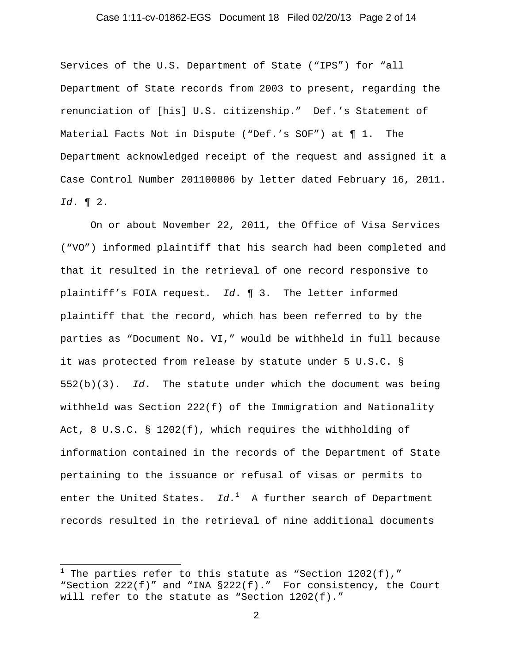## Case 1:11-cv-01862-EGS Document 18 Filed 02/20/13 Page 2 of 14

Services of the U.S. Department of State ("IPS") for "all Department of State records from 2003 to present, regarding the renunciation of [his] U.S. citizenship." Def.'s Statement of Material Facts Not in Dispute ("Def.'s SOF") at ¶ 1. The Department acknowledged receipt of the request and assigned it a Case Control Number 201100806 by letter dated February 16, 2011. *Id*. ¶ 2.

On or about November 22, 2011, the Office of Visa Services ("VO") informed plaintiff that his search had been completed and that it resulted in the retrieval of one record responsive to plaintiff's FOIA request. *Id*. ¶ 3. The letter informed plaintiff that the record, which has been referred to by the parties as "Document No. VI," would be withheld in full because it was protected from release by statute under 5 U.S.C. § 552(b)(3). *Id*. The statute under which the document was being withheld was Section 222(f) of the Immigration and Nationality Act, 8 U.S.C. § 1202(f), which requires the withholding of information contained in the records of the Department of State pertaining to the issuance or refusal of visas or permits to enter the United States. Id.<sup>[1](#page-1-0)</sup> A further search of Department records resulted in the retrieval of nine additional documents

 $\overline{a}$ 

<span id="page-1-0"></span> $^1$  The parties refer to this statute as "Section 1202(f)," "Section 222(f)" and "INA §222(f)." For consistency, the Court will refer to the statute as "Section 1202(f)."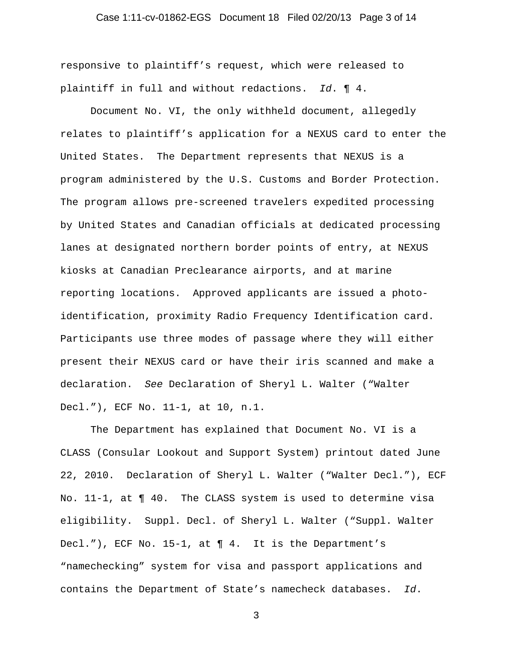## Case 1:11-cv-01862-EGS Document 18 Filed 02/20/13 Page 3 of 14

responsive to plaintiff's request, which were released to plaintiff in full and without redactions. *Id*. ¶ 4.

Document No. VI, the only withheld document, allegedly relates to plaintiff's application for a NEXUS card to enter the United States. The Department represents that NEXUS is a program administered by the U.S. Customs and Border Protection. The program allows pre-screened travelers expedited processing by United States and Canadian officials at dedicated processing lanes at designated northern border points of entry, at NEXUS kiosks at Canadian Preclearance airports, and at marine reporting locations. Approved applicants are issued a photoidentification, proximity Radio Frequency Identification card. Participants use three modes of passage where they will either present their NEXUS card or have their iris scanned and make a declaration. *See* Declaration of Sheryl L. Walter ("Walter Decl."), ECF No. 11-1, at 10, n.1.

The Department has explained that Document No. VI is a CLASS (Consular Lookout and Support System) printout dated June 22, 2010. Declaration of Sheryl L. Walter ("Walter Decl."), ECF No. 11-1, at ¶ 40. The CLASS system is used to determine visa eligibility. Suppl. Decl. of Sheryl L. Walter ("Suppl. Walter Decl."), ECF No. 15-1, at ¶ 4. It is the Department's "namechecking" system for visa and passport applications and contains the Department of State's namecheck databases. *Id*.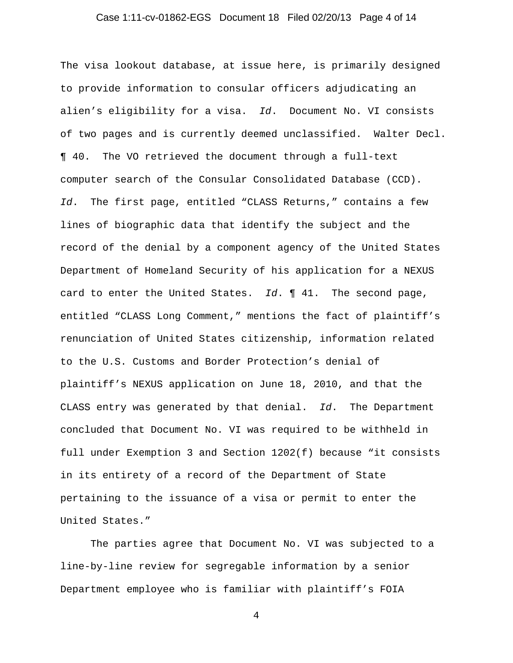## Case 1:11-cv-01862-EGS Document 18 Filed 02/20/13 Page 4 of 14

The visa lookout database, at issue here, is primarily designed to provide information to consular officers adjudicating an alien's eligibility for a visa. *Id*. Document No. VI consists of two pages and is currently deemed unclassified. Walter Decl. ¶ 40. The VO retrieved the document through a full-text computer search of the Consular Consolidated Database (CCD). *Id*. The first page, entitled "CLASS Returns," contains a few lines of biographic data that identify the subject and the record of the denial by a component agency of the United States Department of Homeland Security of his application for a NEXUS card to enter the United States. *Id*. ¶ 41. The second page, entitled "CLASS Long Comment," mentions the fact of plaintiff's renunciation of United States citizenship, information related to the U.S. Customs and Border Protection's denial of plaintiff's NEXUS application on June 18, 2010, and that the CLASS entry was generated by that denial. *Id*. The Department concluded that Document No. VI was required to be withheld in full under Exemption 3 and Section 1202(f) because "it consists in its entirety of a record of the Department of State pertaining to the issuance of a visa or permit to enter the United States."

The parties agree that Document No. VI was subjected to a line-by-line review for segregable information by a senior Department employee who is familiar with plaintiff's FOIA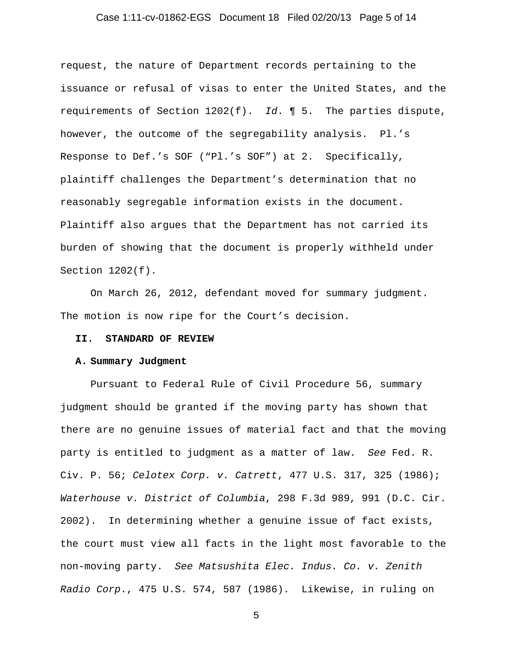## Case 1:11-cv-01862-EGS Document 18 Filed 02/20/13 Page 5 of 14

request, the nature of Department records pertaining to the issuance or refusal of visas to enter the United States, and the requirements of Section 1202(f). *Id*. ¶ 5. The parties dispute, however, the outcome of the segregability analysis. Pl.'s Response to Def.'s SOF ("Pl.'s SOF") at 2. Specifically, plaintiff challenges the Department's determination that no reasonably segregable information exists in the document. Plaintiff also argues that the Department has not carried its burden of showing that the document is properly withheld under Section 1202(f).

On March 26, 2012, defendant moved for summary judgment. The motion is now ripe for the Court's decision.

#### **II. STANDARD OF REVIEW**

#### **A. Summary Judgment**

Pursuant to Federal Rule of Civil Procedure 56, summary judgment should be granted if the moving party has shown that there are no genuine issues of material fact and that the moving party is entitled to judgment as a matter of law. *See* Fed. R. Civ. P. 56; *Celotex Corp. v. Catrett*, 477 U.S. 317, 325 (1986); *Waterhouse v. District of Columbia*, 298 F.3d 989, 991 (D.C. Cir. 2002). In determining whether a genuine issue of fact exists, the court must view all facts in the light most favorable to the non-moving party. *See Matsushita Elec. Indus. Co. v. Zenith Radio Corp*., 475 U.S. 574, 587 (1986). Likewise, in ruling on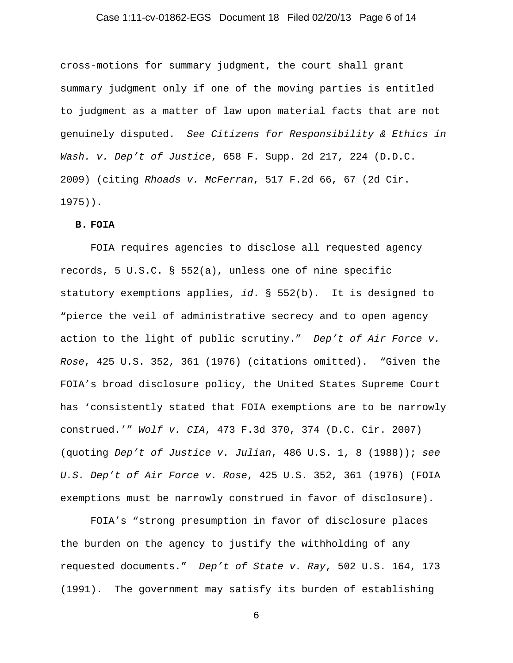## Case 1:11-cv-01862-EGS Document 18 Filed 02/20/13 Page 6 of 14

cross-motions for summary judgment, the court shall grant summary judgment only if one of the moving parties is entitled to judgment as a matter of law upon material facts that are not genuinely disputed. *See Citizens for Responsibility & Ethics in Wash. v. Dep't of Justice*, 658 F. Supp. 2d 217, 224 (D.D.C. 2009) (citing *Rhoads v. McFerran*, 517 F.2d 66, 67 (2d Cir. 1975)).

#### **B. FOIA**

FOIA requires agencies to disclose all requested agency records, 5 U.S.C. § 552(a), unless one of nine specific statutory exemptions applies, *id*. § 552(b). It is designed to "pierce the veil of administrative secrecy and to open agency action to the light of public scrutiny." *Dep't of Air Force v. Rose*, 425 U.S. 352, 361 (1976) (citations omitted). "Given the FOIA's broad disclosure policy, the United States Supreme Court has 'consistently stated that FOIA exemptions are to be narrowly construed.'" *Wolf v. CIA*, 473 F.3d 370, 374 (D.C. Cir. 2007) (quoting *Dep't of Justice v. Julian*, 486 U.S. 1, 8 (1988)); *see U.S. Dep't of Air Force v. Rose*, 425 U.S. 352, 361 (1976) (FOIA exemptions must be narrowly construed in favor of disclosure).

FOIA's "strong presumption in favor of disclosure places the burden on the agency to justify the withholding of any requested documents." *Dep't of State v. Ray*, 502 U.S. 164, 173 (1991). The government may satisfy its burden of establishing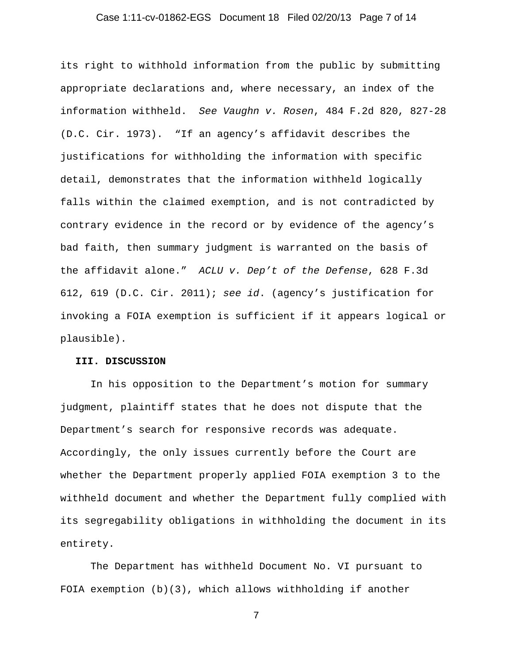## Case 1:11-cv-01862-EGS Document 18 Filed 02/20/13 Page 7 of 14

its right to withhold information from the public by submitting appropriate declarations and, where necessary, an index of the information withheld. *See Vaughn v. Rosen*, 484 F.2d 820, 827-28 (D.C. Cir. 1973). "If an agency's affidavit describes the justifications for withholding the information with specific detail, demonstrates that the information withheld logically falls within the claimed exemption, and is not contradicted by contrary evidence in the record or by evidence of the agency's bad faith, then summary judgment is warranted on the basis of the affidavit alone." *ACLU v. Dep't of the Defense*, 628 F.3d 612, 619 (D.C. Cir. 2011); *see id*. (agency's justification for invoking a FOIA exemption is sufficient if it appears logical or plausible).

### **III. DISCUSSION**

In his opposition to the Department's motion for summary judgment, plaintiff states that he does not dispute that the Department's search for responsive records was adequate. Accordingly, the only issues currently before the Court are whether the Department properly applied FOIA exemption 3 to the withheld document and whether the Department fully complied with its segregability obligations in withholding the document in its entirety.

The Department has withheld Document No. VI pursuant to FOIA exemption (b)(3), which allows withholding if another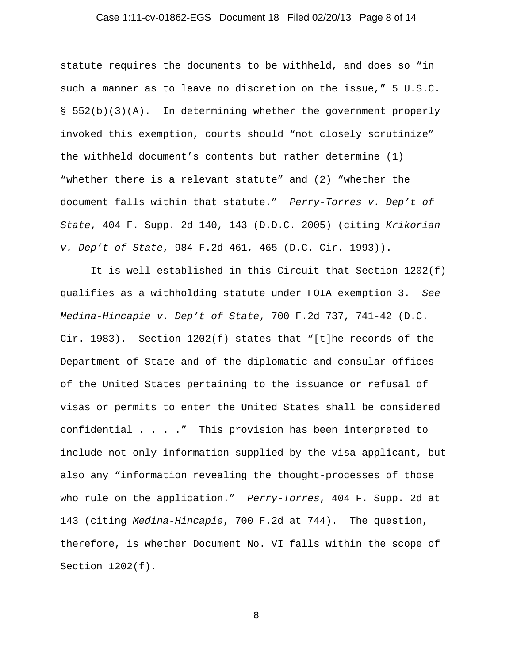## Case 1:11-cv-01862-EGS Document 18 Filed 02/20/13 Page 8 of 14

statute requires the documents to be withheld, and does so "in such a manner as to leave no discretion on the issue," 5 U.S.C. § 552(b)(3)(A). In determining whether the government properly invoked this exemption, courts should "not closely scrutinize" the withheld document's contents but rather determine (1) "whether there is a relevant statute" and (2) "whether the document falls within that statute." *Perry-Torres v. Dep't of State*, 404 F. Supp. 2d 140, 143 (D.D.C. 2005) (citing *Krikorian v. Dep't of State*, 984 F.2d 461, 465 (D.C. Cir. 1993)).

It is well-established in this Circuit that Section 1202(f) qualifies as a withholding statute under FOIA exemption 3. *See Medina-Hincapie v. Dep't of State*, 700 F.2d 737, 741-42 (D.C. Cir. 1983). Section 1202(f) states that "[t]he records of the Department of State and of the diplomatic and consular offices of the United States pertaining to the issuance or refusal of visas or permits to enter the United States shall be considered confidential . . . ." This provision has been interpreted to include not only information supplied by the visa applicant, but also any "information revealing the thought-processes of those who rule on the application." *Perry-Torres*, 404 F. Supp. 2d at 143 (citing *Medina-Hincapie*, 700 F.2d at 744). The question, therefore, is whether Document No. VI falls within the scope of Section 1202(f).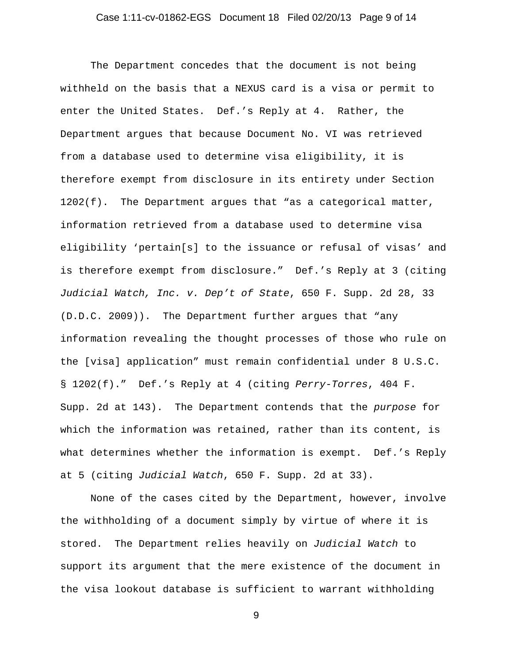## Case 1:11-cv-01862-EGS Document 18 Filed 02/20/13 Page 9 of 14

The Department concedes that the document is not being withheld on the basis that a NEXUS card is a visa or permit to enter the United States. Def.'s Reply at 4. Rather, the Department argues that because Document No. VI was retrieved from a database used to determine visa eligibility, it is therefore exempt from disclosure in its entirety under Section 1202(f). The Department argues that "as a categorical matter, information retrieved from a database used to determine visa eligibility 'pertain[s] to the issuance or refusal of visas' and is therefore exempt from disclosure." Def.'s Reply at 3 (citing *Judicial Watch, Inc. v. Dep't of State*, 650 F. Supp. 2d 28, 33 (D.D.C. 2009)). The Department further argues that "any information revealing the thought processes of those who rule on the [visa] application" must remain confidential under 8 U.S.C. § 1202(f)." Def.'s Reply at 4 (citing *Perry-Torres*, 404 F. Supp. 2d at 143). The Department contends that the *purpose* for which the information was retained, rather than its content, is what determines whether the information is exempt. Def.'s Reply at 5 (citing *Judicial Watch*, 650 F. Supp. 2d at 33).

None of the cases cited by the Department, however, involve the withholding of a document simply by virtue of where it is stored. The Department relies heavily on *Judicial Watch* to support its argument that the mere existence of the document in the visa lookout database is sufficient to warrant withholding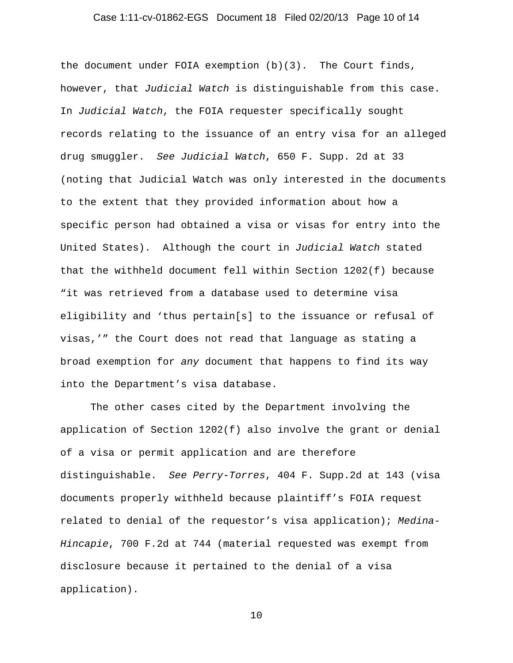## Case 1:11-cv-01862-EGS Document 18 Filed 02/20/13 Page 10 of 14

the document under FOIA exemption (b)(3). The Court finds, however, that *Judicial Watch* is distinguishable from this case. In *Judicial Watch*, the FOIA requester specifically sought records relating to the issuance of an entry visa for an alleged drug smuggler. *See Judicial Watch*, 650 F. Supp. 2d at 33 (noting that Judicial Watch was only interested in the documents to the extent that they provided information about how a specific person had obtained a visa or visas for entry into the United States). Although the court in *Judicial Watch* stated that the withheld document fell within Section 1202(f) because "it was retrieved from a database used to determine visa eligibility and 'thus pertain[s] to the issuance or refusal of visas,'" the Court does not read that language as stating a broad exemption for *any* document that happens to find its way into the Department's visa database.

The other cases cited by the Department involving the application of Section 1202(f) also involve the grant or denial of a visa or permit application and are therefore distinguishable. *See Perry-Torres*, 404 F. Supp.2d at 143 (visa documents properly withheld because plaintiff's FOIA request related to denial of the requestor's visa application); *Medina-Hincapie*, 700 F.2d at 744 (material requested was exempt from disclosure because it pertained to the denial of a visa application).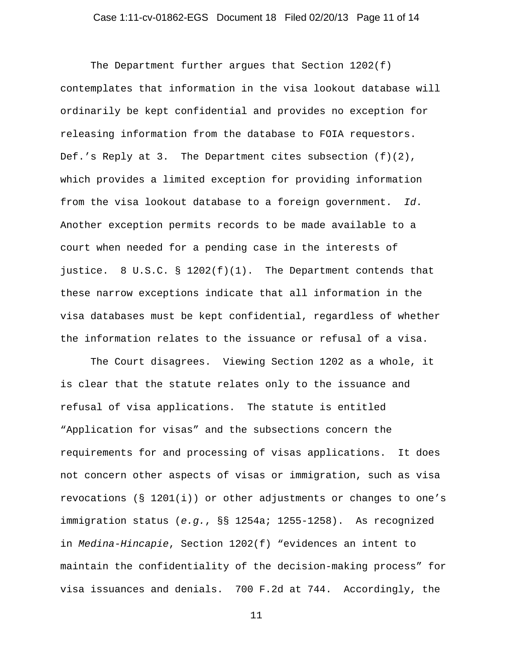## Case 1:11-cv-01862-EGS Document 18 Filed 02/20/13 Page 11 of 14

The Department further arques that Section  $1202(f)$ contemplates that information in the visa lookout database will ordinarily be kept confidential and provides no exception for releasing information from the database to FOIA requestors. Def.'s Reply at 3. The Department cites subsection (f)(2), which provides a limited exception for providing information from the visa lookout database to a foreign government. *Id*. Another exception permits records to be made available to a court when needed for a pending case in the interests of justice. 8 U.S.C. §  $1202(f)(1)$ . The Department contends that these narrow exceptions indicate that all information in the visa databases must be kept confidential, regardless of whether the information relates to the issuance or refusal of a visa.

The Court disagrees. Viewing Section 1202 as a whole, it is clear that the statute relates only to the issuance and refusal of visa applications. The statute is entitled "Application for visas" and the subsections concern the requirements for and processing of visas applications. It does not concern other aspects of visas or immigration, such as visa revocations ( $\S$  1201(i)) or other adjustments or changes to one's immigration status (*e.g.*, §§ 1254a; 1255-1258). As recognized in *Medina-Hincapie*, Section 1202(f) "evidences an intent to maintain the confidentiality of the decision-making process" for visa issuances and denials. 700 F.2d at 744. Accordingly, the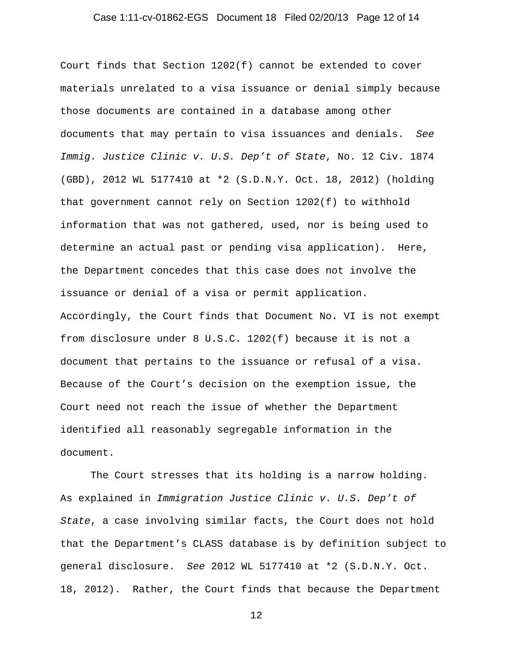## Case 1:11-cv-01862-EGS Document 18 Filed 02/20/13 Page 12 of 14

Court finds that Section 1202(f) cannot be extended to cover materials unrelated to a visa issuance or denial simply because those documents are contained in a database among other documents that may pertain to visa issuances and denials. *See Immig. Justice Clinic v. U.S. Dep't of State*, No. 12 Civ. 1874 (GBD), 2012 WL 5177410 at \*2 (S.D.N.Y. Oct. 18, 2012) (holding that government cannot rely on Section 1202(f) to withhold information that was not gathered, used, nor is being used to determine an actual past or pending visa application). Here, the Department concedes that this case does not involve the issuance or denial of a visa or permit application. Accordingly, the Court finds that Document No. VI is not exempt from disclosure under 8 U.S.C. 1202(f) because it is not a document that pertains to the issuance or refusal of a visa. Because of the Court's decision on the exemption issue, the Court need not reach the issue of whether the Department identified all reasonably segregable information in the document.

The Court stresses that its holding is a narrow holding. As explained in *Immigration Justice Clinic v. U.S. Dep't of State*, a case involving similar facts, the Court does not hold that the Department's CLASS database is by definition subject to general disclosure. *See* 2012 WL 5177410 at \*2 (S.D.N.Y. Oct. 18, 2012). Rather, the Court finds that because the Department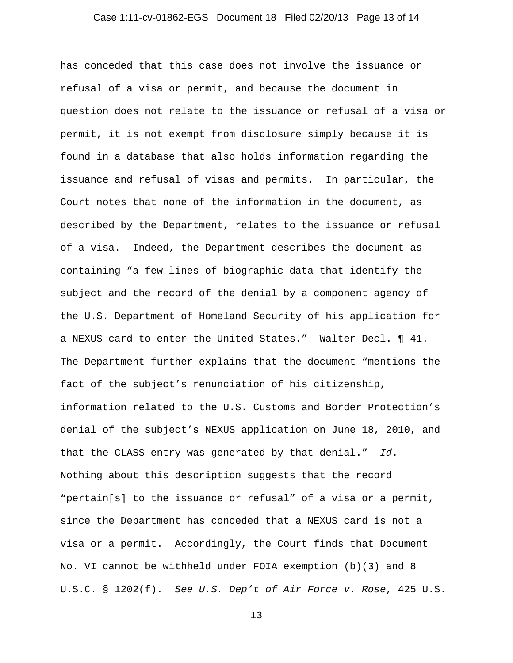## Case 1:11-cv-01862-EGS Document 18 Filed 02/20/13 Page 13 of 14

has conceded that this case does not involve the issuance or refusal of a visa or permit, and because the document in question does not relate to the issuance or refusal of a visa or permit, it is not exempt from disclosure simply because it is found in a database that also holds information regarding the issuance and refusal of visas and permits. In particular, the Court notes that none of the information in the document, as described by the Department, relates to the issuance or refusal of a visa. Indeed, the Department describes the document as containing "a few lines of biographic data that identify the subject and the record of the denial by a component agency of the U.S. Department of Homeland Security of his application for a NEXUS card to enter the United States." Walter Decl. ¶ 41. The Department further explains that the document "mentions the fact of the subject's renunciation of his citizenship, information related to the U.S. Customs and Border Protection's denial of the subject's NEXUS application on June 18, 2010, and that the CLASS entry was generated by that denial." *Id*. Nothing about this description suggests that the record "pertain[s] to the issuance or refusal" of a visa or a permit, since the Department has conceded that a NEXUS card is not a visa or a permit. Accordingly, the Court finds that Document No. VI cannot be withheld under FOIA exemption (b)(3) and 8 U.S.C. § 1202(f). *See U.S. Dep't of Air Force v. Rose*, 425 U.S.